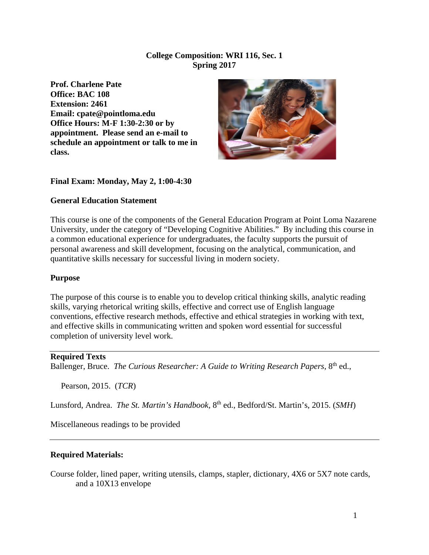## **College Composition: WRI 116, Sec. 1 Spring 2017**

**Prof. Charlene Pate Office: BAC 108 Extension: 2461 Email: cpate@pointloma.edu Office Hours: M-F 1:30-2:30 or by appointment. Please send an e-mail to schedule an appointment or talk to me in class.**



## **Final Exam: Monday, May 2, 1:00-4:30**

## **General Education Statement**

This course is one of the components of the General Education Program at Point Loma Nazarene University, under the category of "Developing Cognitive Abilities." By including this course in a common educational experience for undergraduates, the faculty supports the pursuit of personal awareness and skill development, focusing on the analytical, communication, and quantitative skills necessary for successful living in modern society.

#### **Purpose**

The purpose of this course is to enable you to develop critical thinking skills, analytic reading skills, varying rhetorical writing skills, effective and correct use of English language conventions, effective research methods, effective and ethical strategies in working with text, and effective skills in communicating written and spoken word essential for successful completion of university level work.

#### **Required Texts**

Ballenger, Bruce. *The Curious Researcher: A Guide to Writing Research Papers*, 8<sup>th</sup> ed.,

Pearson, 2015. (*TCR*)

Lunsford, Andrea. *The St. Martin's Handbook,* 8th ed., Bedford/St. Martin's, 2015. (*SMH*)

Miscellaneous readings to be provided

#### **Required Materials:**

Course folder, lined paper, writing utensils, clamps, stapler, dictionary, 4X6 or 5X7 note cards, and a 10X13 envelope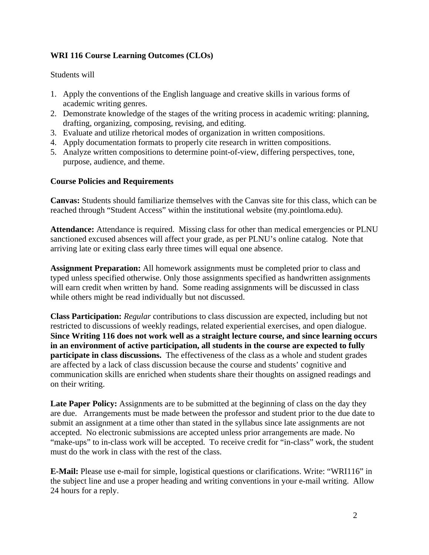# **WRI 116 Course Learning Outcomes (CLOs)**

## Students will

- 1. Apply the conventions of the English language and creative skills in various forms of academic writing genres.
- 2. Demonstrate knowledge of the stages of the writing process in academic writing: planning, drafting, organizing, composing, revising, and editing.
- 3. Evaluate and utilize rhetorical modes of organization in written compositions.
- 4. Apply documentation formats to properly cite research in written compositions.
- 5. Analyze written compositions to determine point-of-view, differing perspectives, tone, purpose, audience, and theme.

## **Course Policies and Requirements**

**Canvas:** Students should familiarize themselves with the Canvas site for this class, which can be reached through "Student Access" within the institutional website (my.pointloma.edu).

**Attendance:** Attendance is required. Missing class for other than medical emergencies or PLNU sanctioned excused absences will affect your grade, as per PLNU's online catalog. Note that arriving late or exiting class early three times will equal one absence.

**Assignment Preparation:** All homework assignments must be completed prior to class and typed unless specified otherwise. Only those assignments specified as handwritten assignments will earn credit when written by hand. Some reading assignments will be discussed in class while others might be read individually but not discussed.

**Class Participation:** *Regular* contributions to class discussion are expected, including but not restricted to discussions of weekly readings, related experiential exercises, and open dialogue. **Since Writing 116 does not work well as a straight lecture course, and since learning occurs in an environment of active participation, all students in the course are expected to fully participate in class discussions.** The effectiveness of the class as a whole and student grades are affected by a lack of class discussion because the course and students' cognitive and communication skills are enriched when students share their thoughts on assigned readings and on their writing.

Late Paper Policy: Assignments are to be submitted at the beginning of class on the day they are due. Arrangements must be made between the professor and student prior to the due date to submit an assignment at a time other than stated in the syllabus since late assignments are not accepted. No electronic submissions are accepted unless prior arrangements are made. No "make-ups" to in-class work will be accepted. To receive credit for "in-class" work, the student must do the work in class with the rest of the class.

**E-Mail:** Please use e-mail for simple, logistical questions or clarifications. Write: "WRI116" in the subject line and use a proper heading and writing conventions in your e-mail writing. Allow 24 hours for a reply.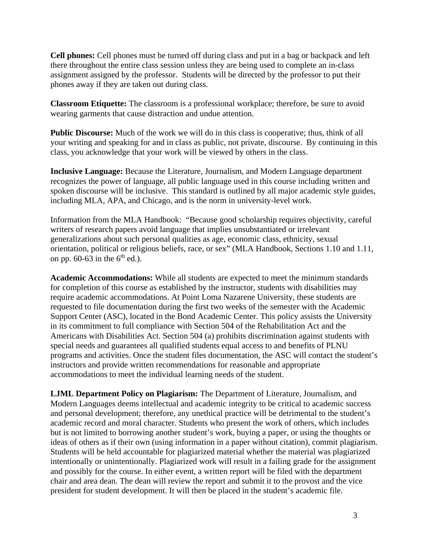**Cell phones:** Cell phones must be turned off during class and put in a bag or backpack and left there throughout the entire class session unless they are being used to complete an in-class assignment assigned by the professor. Students will be directed by the professor to put their phones away if they are taken out during class.

**Classroom Etiquette:** The classroom is a professional workplace; therefore, be sure to avoid wearing garments that cause distraction and undue attention.

**Public Discourse:** Much of the work we will do in this class is cooperative; thus, think of all your writing and speaking for and in class as public, not private, discourse. By continuing in this class, you acknowledge that your work will be viewed by others in the class.

**Inclusive Language:** Because the Literature, Journalism, and Modern Language department recognizes the power of language, all public language used in this course including written and spoken discourse will be inclusive. This standard is outlined by all major academic style guides, including MLA, APA, and Chicago, and is the norm in university-level work.

Information from the MLA Handbook: "Because good scholarship requires objectivity, careful writers of research papers avoid language that implies unsubstantiated or irrelevant generalizations about such personal qualities as age, economic class, ethnicity, sexual orientation, political or religious beliefs, race, or sex" (MLA Handbook, Sections 1.10 and 1.11, on pp. 60-63 in the  $6<sup>th</sup>$  ed.).

**Academic Accommodations:** While all students are expected to meet the minimum standards for completion of this course as established by the instructor, students with disabilities may require academic accommodations. At Point Loma Nazarene University, these students are requested to file documentation during the first two weeks of the semester with the Academic Support Center (ASC), located in the Bond Academic Center. This policy assists the University in its commitment to full compliance with Section 504 of the Rehabilitation Act and the Americans with Disabilities Act. Section 504 (a) prohibits discrimination against students with special needs and guarantees all qualified students equal access to and benefits of PLNU programs and activities. Once the student files documentation, the ASC will contact the student's instructors and provide written recommendations for reasonable and appropriate accommodations to meet the individual learning needs of the student.

**LJML Department Policy on Plagiarism:** The Department of Literature, Journalism, and Modern Languages deems intellectual and academic integrity to be critical to academic success and personal development; therefore, any unethical practice will be detrimental to the student's academic record and moral character. Students who present the work of others, which includes but is not limited to borrowing another student's work, buying a paper, or using the thoughts or ideas of others as if their own (using information in a paper without citation), commit plagiarism. Students will be held accountable for plagiarized material whether the material was plagiarized intentionally or unintentionally. Plagiarized work will result in a failing grade for the assignment and possibly for the course. In either event, a written report will be filed with the department chair and area dean. The dean will review the report and submit it to the provost and the vice president for student development. It will then be placed in the student's academic file.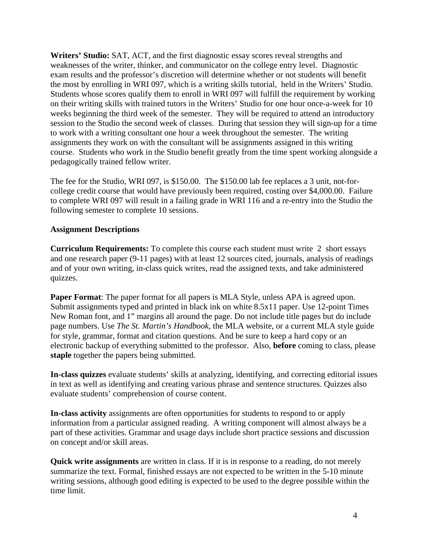**Writers' Studio:** SAT, ACT, and the first diagnostic essay scores reveal strengths and weaknesses of the writer, thinker, and communicator on the college entry level. Diagnostic exam results and the professor's discretion will determine whether or not students will benefit the most by enrolling in WRI 097, which is a writing skills tutorial, held in the Writers' Studio. Students whose scores qualify them to enroll in WRI 097 will fulfill the requirement by working on their writing skills with trained tutors in the Writers' Studio for one hour once-a-week for 10 weeks beginning the third week of the semester. They will be required to attend an introductory session to the Studio the second week of classes. During that session they will sign-up for a time to work with a writing consultant one hour a week throughout the semester. The writing assignments they work on with the consultant will be assignments assigned in this writing course. Students who work in the Studio benefit greatly from the time spent working alongside a pedagogically trained fellow writer.

The fee for the Studio, WRI 097, is \$150.00. The \$150.00 lab fee replaces a 3 unit, not-forcollege credit course that would have previously been required, costing over \$4,000.00. Failure to complete WRI 097 will result in a failing grade in WRI 116 and a re-entry into the Studio the following semester to complete 10 sessions.

## **Assignment Descriptions**

**Curriculum Requirements:** To complete this course each student must write 2 short essays and one research paper (9-11 pages) with at least 12 sources cited, journals, analysis of readings and of your own writing, in-class quick writes, read the assigned texts, and take administered quizzes.

**Paper Format**: The paper format for all papers is MLA Style, unless APA is agreed upon. Submit assignments typed and printed in black ink on white 8.5x11 paper. Use 12-point Times New Roman font, and 1" margins all around the page. Do not include title pages but do include page numbers. Use *The St. Martin's Handbook*, the MLA website, or a current MLA style guide for style, grammar, format and citation questions. And be sure to keep a hard copy or an electronic backup of everything submitted to the professor. Also, **before** coming to class, please **staple** together the papers being submitted.

**In-class quizzes** evaluate students' skills at analyzing, identifying, and correcting editorial issues in text as well as identifying and creating various phrase and sentence structures. Quizzes also evaluate students' comprehension of course content.

**In-class activity** assignments are often opportunities for students to respond to or apply information from a particular assigned reading. A writing component will almost always be a part of these activities. Grammar and usage days include short practice sessions and discussion on concept and/or skill areas.

**Quick write assignments** are written in class. If it is in response to a reading, do not merely summarize the text. Formal, finished essays are not expected to be written in the 5-10 minute writing sessions, although good editing is expected to be used to the degree possible within the time limit.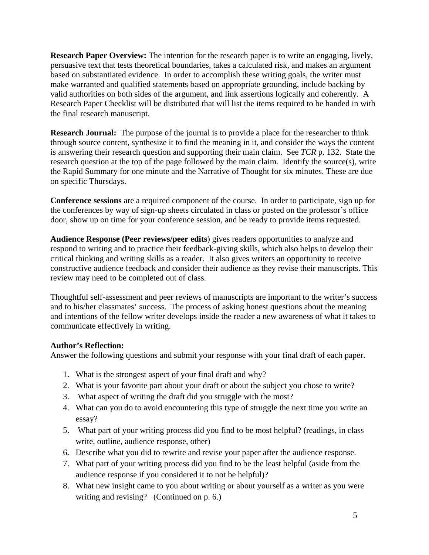**Research Paper Overview:** The intention for the research paper is to write an engaging, lively, persuasive text that tests theoretical boundaries, takes a calculated risk, and makes an argument based on substantiated evidence. In order to accomplish these writing goals, the writer must make warranted and qualified statements based on appropriate grounding, include backing by valid authorities on both sides of the argument, and link assertions logically and coherently. A Research Paper Checklist will be distributed that will list the items required to be handed in with the final research manuscript.

**Research Journal:** The purpose of the journal is to provide a place for the researcher to think through source content, synthesize it to find the meaning in it, and consider the ways the content is answering their research question and supporting their main claim. See *TCR* p. 132. State the research question at the top of the page followed by the main claim. Identify the source(s), write the Rapid Summary for one minute and the Narrative of Thought for six minutes. These are due on specific Thursdays.

**Conference sessions** are a required component of the course. In order to participate, sign up for the conferences by way of sign-up sheets circulated in class or posted on the professor's office door, show up on time for your conference session, and be ready to provide items requested.

**Audience Response (Peer reviews/peer edits**) gives readers opportunities to analyze and respond to writing and to practice their feedback-giving skills, which also helps to develop their critical thinking and writing skills as a reader. It also gives writers an opportunity to receive constructive audience feedback and consider their audience as they revise their manuscripts. This review may need to be completed out of class.

Thoughtful self-assessment and peer reviews of manuscripts are important to the writer's success and to his/her classmates' success. The process of asking honest questions about the meaning and intentions of the fellow writer develops inside the reader a new awareness of what it takes to communicate effectively in writing.

# **Author's Reflection:**

Answer the following questions and submit your response with your final draft of each paper.

- 1. What is the strongest aspect of your final draft and why?
- 2. What is your favorite part about your draft or about the subject you chose to write?
- 3. What aspect of writing the draft did you struggle with the most?
- 4. What can you do to avoid encountering this type of struggle the next time you write an essay?
- 5. What part of your writing process did you find to be most helpful? (readings, in class write, outline, audience response, other)
- 6. Describe what you did to rewrite and revise your paper after the audience response.
- 7. What part of your writing process did you find to be the least helpful (aside from the audience response if you considered it to not be helpful)?
- 8. What new insight came to you about writing or about yourself as a writer as you were writing and revising? (Continued on p. 6.)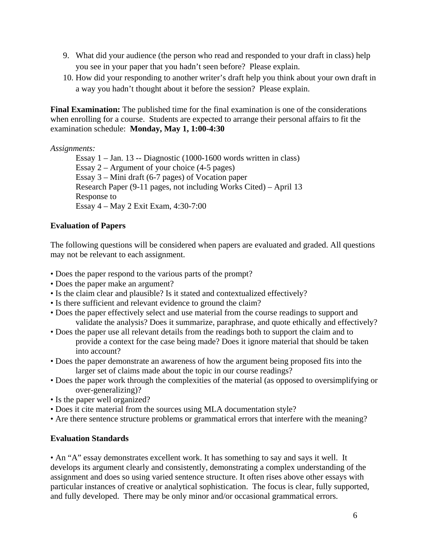- 9. What did your audience (the person who read and responded to your draft in class) help you see in your paper that you hadn't seen before? Please explain.
- 10. How did your responding to another writer's draft help you think about your own draft in a way you hadn't thought about it before the session? Please explain.

**Final Examination:** The published time for the final examination is one of the considerations when enrolling for a course. Students are expected to arrange their personal affairs to fit the examination schedule: **Monday, May 1, 1:00-4:30**

## *Assignments:*

Essay 1 – Jan. 13 -- Diagnostic (1000-1600 words written in class) Essay  $2 -$  Argument of your choice (4-5 pages) Essay 3 – Mini draft (6-7 pages) of Vocation paper Research Paper (9-11 pages, not including Works Cited) – April 13 Response to Essay 4 – May 2 Exit Exam, 4:30-7:00

# **Evaluation of Papers**

The following questions will be considered when papers are evaluated and graded. All questions may not be relevant to each assignment.

- Does the paper respond to the various parts of the prompt?
- Does the paper make an argument?
- Is the claim clear and plausible? Is it stated and contextualized effectively?
- Is there sufficient and relevant evidence to ground the claim?
- Does the paper effectively select and use material from the course readings to support and validate the analysis? Does it summarize, paraphrase, and quote ethically and effectively?
- Does the paper use all relevant details from the readings both to support the claim and to provide a context for the case being made? Does it ignore material that should be taken into account?
- Does the paper demonstrate an awareness of how the argument being proposed fits into the larger set of claims made about the topic in our course readings?
- Does the paper work through the complexities of the material (as opposed to oversimplifying or over-generalizing)?
- Is the paper well organized?
- Does it cite material from the sources using MLA documentation style?
- Are there sentence structure problems or grammatical errors that interfere with the meaning?

# **Evaluation Standards**

• An "A" essay demonstrates excellent work. It has something to say and says it well. It develops its argument clearly and consistently, demonstrating a complex understanding of the assignment and does so using varied sentence structure. It often rises above other essays with particular instances of creative or analytical sophistication. The focus is clear, fully supported, and fully developed. There may be only minor and/or occasional grammatical errors.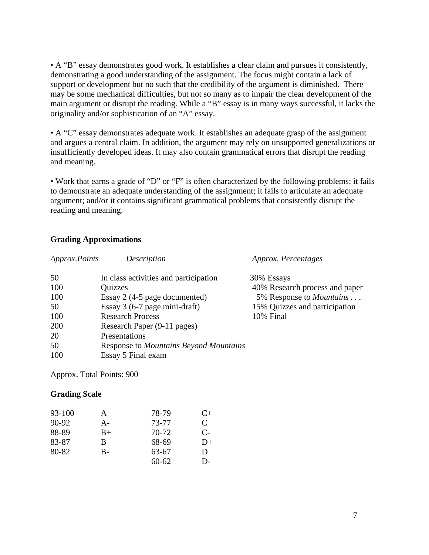• A "B" essay demonstrates good work. It establishes a clear claim and pursues it consistently, demonstrating a good understanding of the assignment. The focus might contain a lack of support or development but no such that the credibility of the argument is diminished. There may be some mechanical difficulties, but not so many as to impair the clear development of the main argument or disrupt the reading. While a "B" essay is in many ways successful, it lacks the originality and/or sophistication of an "A" essay.

• A "C" essay demonstrates adequate work. It establishes an adequate grasp of the assignment and argues a central claim. In addition, the argument may rely on unsupported generalizations or insufficiently developed ideas. It may also contain grammatical errors that disrupt the reading and meaning.

• Work that earns a grade of "D" or "F" is often characterized by the following problems: it fails to demonstrate an adequate understanding of the assignment; it fails to articulate an adequate argument; and/or it contains significant grammatical problems that consistently disrupt the reading and meaning.

## **Grading Approximations**

| Approx.Points | Description                                   | Approx. Percentages             |
|---------------|-----------------------------------------------|---------------------------------|
| 50            | In class activities and participation         | 30% Essays                      |
| 100           | Quizzes                                       | 40% Research process and paper  |
| 100           | Essay 2 (4-5 page documented)                 | 5% Response to <i>Mountains</i> |
| 50            | Essay $3(6-7)$ page mini-draft)               | 15% Quizzes and participation   |
| 100           | <b>Research Process</b>                       | 10% Final                       |
| 200           | Research Paper (9-11 pages)                   |                                 |
| 20            | Presentations                                 |                                 |
| 50            | <b>Response to Mountains Beyond Mountains</b> |                                 |
| 100           | Essay 5 Final exam                            |                                 |

Approx. Total Points: 900

#### **Grading Scale**

| 93-100  | A     | 78-79     | $C+$  |
|---------|-------|-----------|-------|
| $90-92$ | $A -$ | 73-77     | C     |
| 88-89   | $B+$  | 70-72     | $C$ - |
| 83-87   | B     | 68-69     | D+    |
| 80-82   | $B -$ | 63-67     | D     |
|         |       | $60 - 62$ | D-    |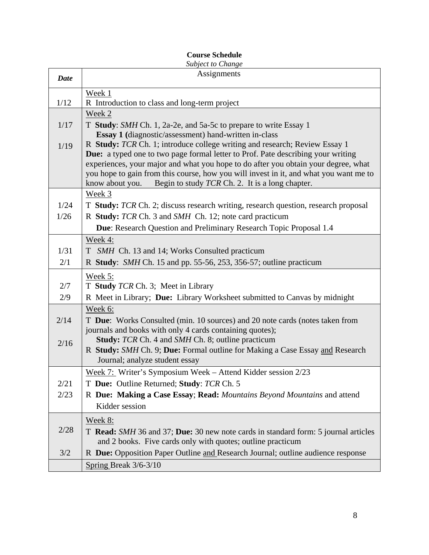# **Course Schedule**

| Subject to Change |                                                                                         |  |  |  |
|-------------------|-----------------------------------------------------------------------------------------|--|--|--|
| <b>Date</b>       | Assignments                                                                             |  |  |  |
|                   | Week 1                                                                                  |  |  |  |
| 1/12              | R Introduction to class and long-term project                                           |  |  |  |
|                   | Week 2                                                                                  |  |  |  |
| 1/17              | T Study: SMH Ch. 1, 2a-2e, and 5a-5c to prepare to write Essay 1                        |  |  |  |
|                   | <b>Essay 1</b> (diagnostic/assessment) hand-written in-class                            |  |  |  |
| 1/19              | R Study: TCR Ch. 1; introduce college writing and research; Review Essay 1              |  |  |  |
|                   | <b>Due:</b> a typed one to two page formal letter to Prof. Pate describing your writing |  |  |  |
|                   | experiences, your major and what you hope to do after you obtain your degree, what      |  |  |  |
|                   | you hope to gain from this course, how you will invest in it, and what you want me to   |  |  |  |
|                   | know about you.<br>Begin to study TCR Ch. 2. It is a long chapter.                      |  |  |  |
|                   | Week 3                                                                                  |  |  |  |
| 1/24              | T Study: TCR Ch. 2; discuss research writing, research question, research proposal      |  |  |  |
| 1/26              | R Study: TCR Ch. 3 and SMH Ch. 12; note card practicum                                  |  |  |  |
|                   | Due: Research Question and Preliminary Research Topic Proposal 1.4                      |  |  |  |
|                   | Week 4:                                                                                 |  |  |  |
| 1/31              | T <i>SMH</i> Ch. 13 and 14; Works Consulted practicum                                   |  |  |  |
| 2/1               | R Study: SMH Ch. 15 and pp. 55-56, 253, 356-57; outline practicum                       |  |  |  |
|                   | Week 5:                                                                                 |  |  |  |
| 2/7               | T Study TCR Ch. 3; Meet in Library                                                      |  |  |  |
| 2/9               | R Meet in Library; Due: Library Worksheet submitted to Canvas by midnight               |  |  |  |
|                   | Week 6:                                                                                 |  |  |  |
| 2/14              | T Due: Works Consulted (min. 10 sources) and 20 note cards (notes taken from            |  |  |  |
|                   | journals and books with only 4 cards containing quotes);                                |  |  |  |
| 2/16              | Study: TCR Ch. 4 and SMH Ch. 8; outline practicum                                       |  |  |  |
|                   | R Study: SMH Ch. 9; Due: Formal outline for Making a Case Essay and Research            |  |  |  |
|                   | Journal; analyze student essay                                                          |  |  |  |
|                   | Week 7: Writer's Symposium Week - Attend Kidder session 2/23                            |  |  |  |
| 2/21              | T Due: Outline Returned; Study: TCR Ch. 5                                               |  |  |  |
| 2/23              | R Due: Making a Case Essay; Read: Mountains Beyond Mountains and attend                 |  |  |  |
|                   | Kidder session                                                                          |  |  |  |
|                   | Week 8:                                                                                 |  |  |  |
| 2/28              | T Read: SMH 36 and 37; Due: 30 new note cards in standard form: 5 journal articles      |  |  |  |
|                   | and 2 books. Five cards only with quotes; outline practicum                             |  |  |  |
| 3/2               | R Due: Opposition Paper Outline and Research Journal; outline audience response         |  |  |  |
|                   | Spring Break 3/6-3/10                                                                   |  |  |  |
|                   |                                                                                         |  |  |  |